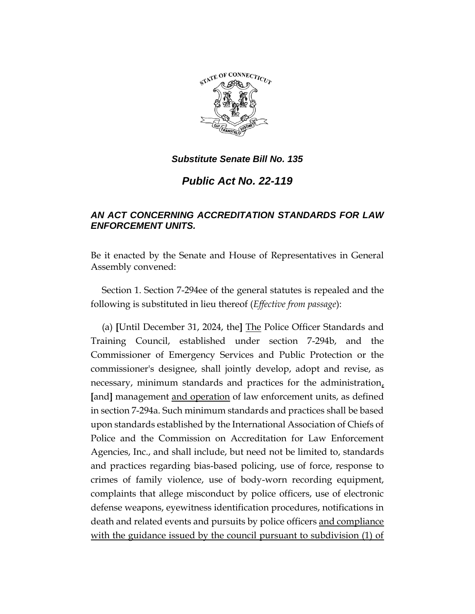

# *Public Act No. 22-119*

# *AN ACT CONCERNING ACCREDITATION STANDARDS FOR LAW ENFORCEMENT UNITS.*

Be it enacted by the Senate and House of Representatives in General Assembly convened:

Section 1. Section 7-294ee of the general statutes is repealed and the following is substituted in lieu thereof (*Effective from passage*):

(a) **[**Until December 31, 2024, the**]** The Police Officer Standards and Training Council, established under section 7-294b, and the Commissioner of Emergency Services and Public Protection or the commissioner's designee, shall jointly develop, adopt and revise, as necessary, minimum standards and practices for the administration, **[**and**]** management and operation of law enforcement units, as defined in section 7-294a. Such minimum standards and practices shall be based upon standards established by the International Association of Chiefs of Police and the Commission on Accreditation for Law Enforcement Agencies, Inc., and shall include, but need not be limited to, standards and practices regarding bias-based policing, use of force, response to crimes of family violence, use of body-worn recording equipment, complaints that allege misconduct by police officers, use of electronic defense weapons, eyewitness identification procedures, notifications in death and related events and pursuits by police officers and compliance with the guidance issued by the council pursuant to subdivision (1) of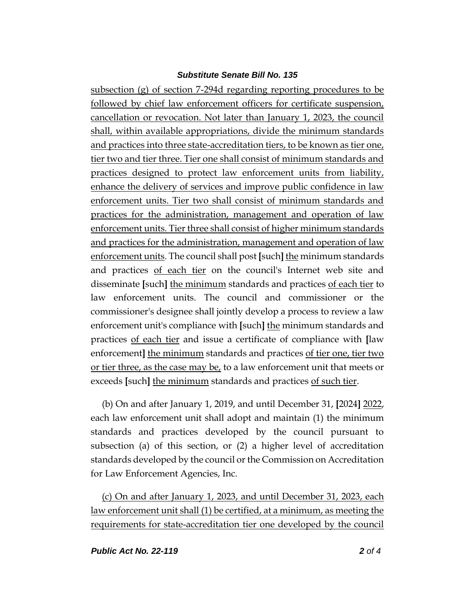subsection (g) of section 7-294d regarding reporting procedures to be followed by chief law enforcement officers for certificate suspension, cancellation or revocation. Not later than January 1, 2023, the council shall, within available appropriations, divide the minimum standards and practices into three state-accreditation tiers, to be known as tier one, tier two and tier three. Tier one shall consist of minimum standards and practices designed to protect law enforcement units from liability, enhance the delivery of services and improve public confidence in law enforcement units. Tier two shall consist of minimum standards and practices for the administration, management and operation of law enforcement units. Tier three shall consist of higher minimum standards and practices for the administration, management and operation of law enforcement units. The council shall post **[**such**]** the minimum standards and practices of each tier on the council's Internet web site and disseminate **[**such**]** the minimum standards and practices of each tier to law enforcement units. The council and commissioner or the commissioner's designee shall jointly develop a process to review a law enforcement unit's compliance with **[**such**]** the minimum standards and practices of each tier and issue a certificate of compliance with **[**law enforcement**]** the minimum standards and practices of tier one, tier two or tier three, as the case may be, to a law enforcement unit that meets or exceeds **[**such**]** the minimum standards and practices of such tier.

(b) On and after January 1, 2019, and until December 31, **[**2024**]** 2022, each law enforcement unit shall adopt and maintain (1) the minimum standards and practices developed by the council pursuant to subsection (a) of this section, or (2) a higher level of accreditation standards developed by the council or the Commission on Accreditation for Law Enforcement Agencies, Inc.

(c) On and after January 1, 2023, and until December 31, 2023, each law enforcement unit shall (1) be certified, at a minimum, as meeting the requirements for state-accreditation tier one developed by the council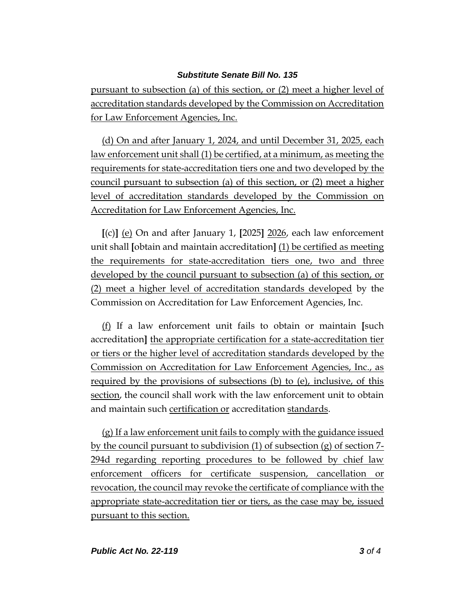pursuant to subsection (a) of this section, or (2) meet a higher level of accreditation standards developed by the Commission on Accreditation for Law Enforcement Agencies, Inc.

(d) On and after January 1, 2024, and until December 31, 2025, each law enforcement unit shall (1) be certified, at a minimum, as meeting the requirements for state-accreditation tiers one and two developed by the council pursuant to subsection (a) of this section, or (2) meet a higher level of accreditation standards developed by the Commission on Accreditation for Law Enforcement Agencies, Inc.

**[**(c)**]** (e) On and after January 1, **[**2025**]** 2026, each law enforcement unit shall **[**obtain and maintain accreditation**]** (1) be certified as meeting the requirements for state-accreditation tiers one, two and three developed by the council pursuant to subsection (a) of this section, or (2) meet a higher level of accreditation standards developed by the Commission on Accreditation for Law Enforcement Agencies, Inc.

(f) If a law enforcement unit fails to obtain or maintain **[**such accreditation**]** the appropriate certification for a state-accreditation tier or tiers or the higher level of accreditation standards developed by the Commission on Accreditation for Law Enforcement Agencies, Inc., as required by the provisions of subsections (b) to (e), inclusive, of this section, the council shall work with the law enforcement unit to obtain and maintain such certification or accreditation standards.

(g) If a law enforcement unit fails to comply with the guidance issued by the council pursuant to subdivision (1) of subsection (g) of section 7- 294d regarding reporting procedures to be followed by chief law enforcement officers for certificate suspension, cancellation or revocation, the council may revoke the certificate of compliance with the appropriate state-accreditation tier or tiers, as the case may be, issued pursuant to this section.